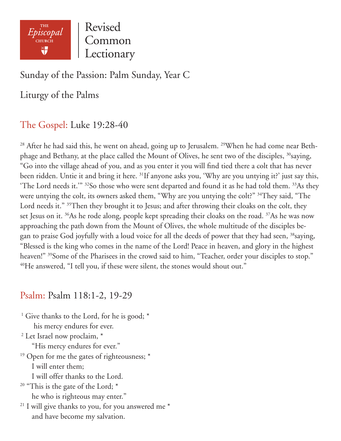

Revised Common Lectionary

## Sunday of the Passion: Palm Sunday, Year C

Liturgy of the Palms

## The Gospel: Luke 19:28-40

<sup>28</sup> After he had said this, he went on ahead, going up to Jerusalem. <sup>29</sup>When he had come near Bethphage and Bethany, at the place called the Mount of Olives, he sent two of the disciples, <sup>30</sup>saying, "Go into the village ahead of you, and as you enter it you will find tied there a colt that has never been ridden. Untie it and bring it here. <sup>31</sup>If anyone asks you, 'Why are you untying it?' just say this, 'The Lord needs it.'" 32So those who were sent departed and found it as he had told them. 33As they were untying the colt, its owners asked them, "Why are you untying the colt?" <sup>34</sup>They said, "The Lord needs it." <sup>35</sup>Then they brought it to Jesus; and after throwing their cloaks on the colt, they set Jesus on it. <sup>36</sup>As he rode along, people kept spreading their cloaks on the road. <sup>37</sup>As he was now approaching the path down from the Mount of Olives, the whole multitude of the disciples began to praise God joyfully with a loud voice for all the deeds of power that they had seen, <sup>38</sup>saying, "Blessed is the king who comes in the name of the Lord! Peace in heaven, and glory in the highest heaven!" <sup>39</sup>Some of the Pharisees in the crowd said to him, "Teacher, order your disciples to stop." <sup>40</sup>He answered, "I tell you, if these were silent, the stones would shout out."

## Psalm: Psalm 118:1-2, 19-29

<sup>1</sup> Give thanks to the Lord, for he is good;  $*$ his mercy endures for ever.

2 Let Israel now proclaim, \*

"His mercy endures for ever."

<sup>19</sup> Open for me the gates of righteousness; \*

I will enter them;

I will offer thanks to the Lord.

- $20$  "This is the gate of the Lord; \* he who is righteous may enter."
- $21$  I will give thanks to you, for you answered me  $*$ and have become my salvation.